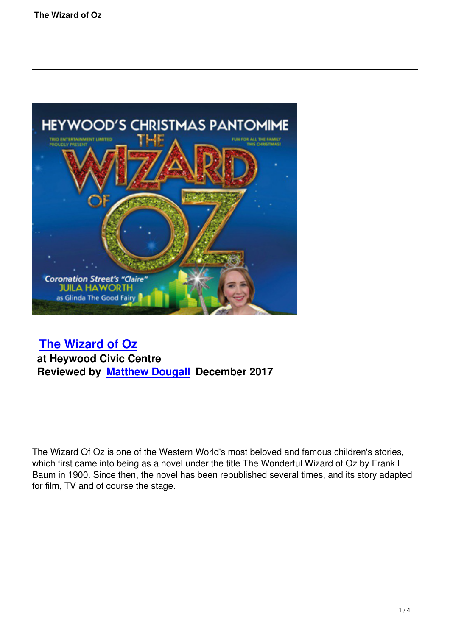

## **The Wizard of Oz**

 **at Heywood Civic Centre [Reviewed by Matthe](the-wizard-of-oz.html)w Dougall December 2017**

The Wizard Of Oz is one of the Western World's most beloved and famous children's stories, which first came into being as a novel under the title The Wonderful Wizard of Oz by Frank L Baum in 1900. Since then, the novel has been republished several times, and its story adapted for film, TV and of course the stage.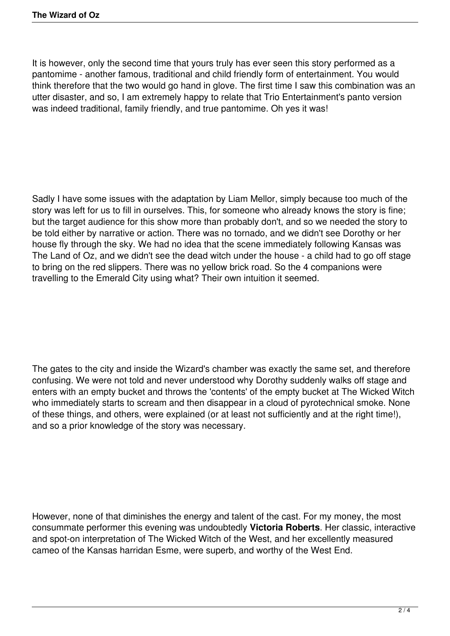It is however, only the second time that yours truly has ever seen this story performed as a pantomime - another famous, traditional and child friendly form of entertainment. You would think therefore that the two would go hand in glove. The first time I saw this combination was an utter disaster, and so, I am extremely happy to relate that Trio Entertainment's panto version was indeed traditional, family friendly, and true pantomime. Oh yes it was!

Sadly I have some issues with the adaptation by Liam Mellor, simply because too much of the story was left for us to fill in ourselves. This, for someone who already knows the story is fine; but the target audience for this show more than probably don't, and so we needed the story to be told either by narrative or action. There was no tornado, and we didn't see Dorothy or her house fly through the sky. We had no idea that the scene immediately following Kansas was The Land of Oz, and we didn't see the dead witch under the house - a child had to go off stage to bring on the red slippers. There was no yellow brick road. So the 4 companions were travelling to the Emerald City using what? Their own intuition it seemed.

The gates to the city and inside the Wizard's chamber was exactly the same set, and therefore confusing. We were not told and never understood why Dorothy suddenly walks off stage and enters with an empty bucket and throws the 'contents' of the empty bucket at The Wicked Witch who immediately starts to scream and then disappear in a cloud of pyrotechnical smoke. None of these things, and others, were explained (or at least not sufficiently and at the right time!), and so a prior knowledge of the story was necessary.

However, none of that diminishes the energy and talent of the cast. For my money, the most consummate performer this evening was undoubtedly **Victoria Roberts**. Her classic, interactive and spot-on interpretation of The Wicked Witch of the West, and her excellently measured cameo of the Kansas harridan Esme, were superb, and worthy of the West End.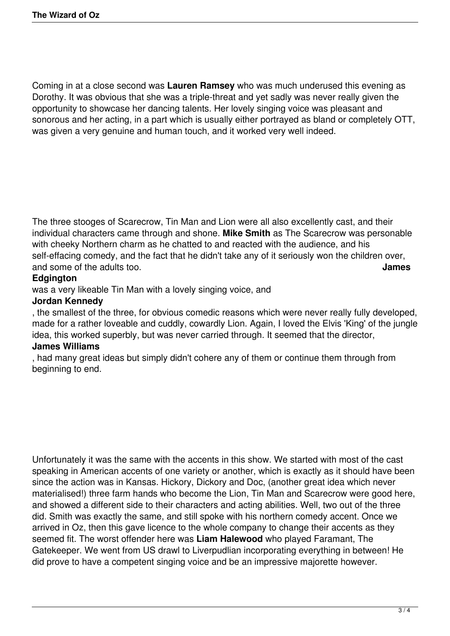Coming in at a close second was **Lauren Ramsey** who was much underused this evening as Dorothy. It was obvious that she was a triple-threat and yet sadly was never really given the opportunity to showcase her dancing talents. Her lovely singing voice was pleasant and sonorous and her acting, in a part which is usually either portrayed as bland or completely OTT, was given a very genuine and human touch, and it worked very well indeed.

The three stooges of Scarecrow, Tin Man and Lion were all also excellently cast, and their individual characters came through and shone. **Mike Smith** as The Scarecrow was personable with cheeky Northern charm as he chatted to and reacted with the audience, and his self-effacing comedy, and the fact that he didn't take any of it seriously won the children over, and some of the adults too. **James**

## **Edgington**

was a very likeable Tin Man with a lovely singing voice, and

## **Jordan Kennedy**

, the smallest of the three, for obvious comedic reasons which were never really fully developed, made for a rather loveable and cuddly, cowardly Lion. Again, I loved the Elvis 'King' of the jungle idea, this worked superbly, but was never carried through. It seemed that the director,

## **James Williams**

, had many great ideas but simply didn't cohere any of them or continue them through from beginning to end.

Unfortunately it was the same with the accents in this show. We started with most of the cast speaking in American accents of one variety or another, which is exactly as it should have been since the action was in Kansas. Hickory, Dickory and Doc, (another great idea which never materialised!) three farm hands who become the Lion, Tin Man and Scarecrow were good here, and showed a different side to their characters and acting abilities. Well, two out of the three did. Smith was exactly the same, and still spoke with his northern comedy accent. Once we arrived in Oz, then this gave licence to the whole company to change their accents as they seemed fit. The worst offender here was **Liam Halewood** who played Faramant, The Gatekeeper. We went from US drawl to Liverpudlian incorporating everything in between! He did prove to have a competent singing voice and be an impressive majorette however.